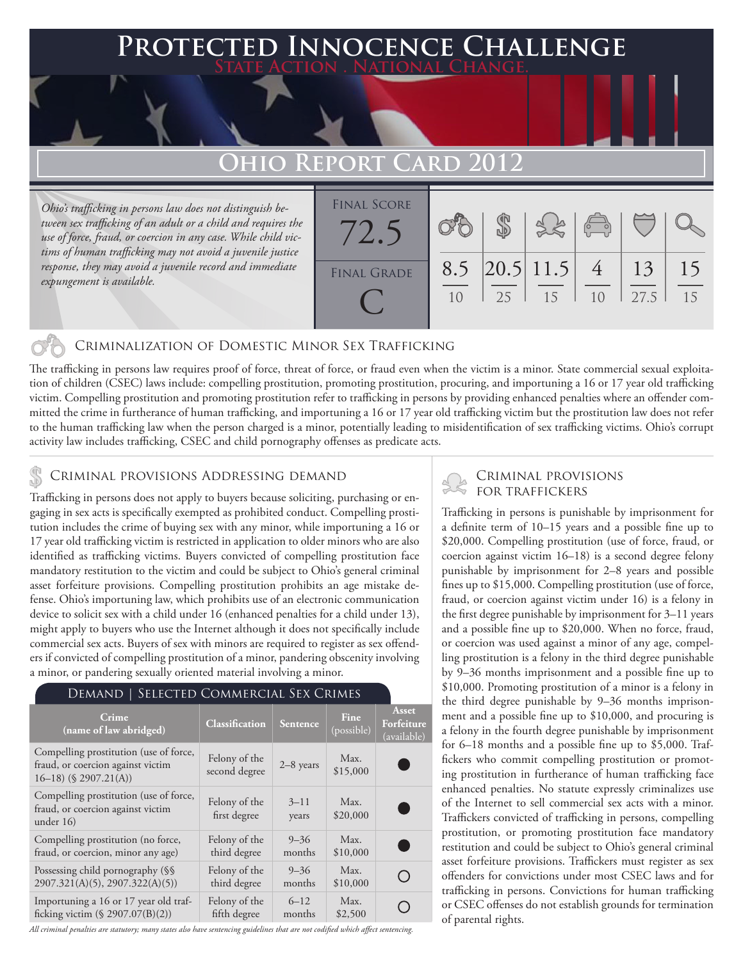## **FECTED INNOCENCE CHALLENGE State Action . National Change.**

# **Ohio Report Card 2012**

*Ohio's trafficking in persons law does not distinguish between sex trafficking of an adult or a child and requires the use of force, fraud, or coercion in any case. While child victims of human trafficking may not avoid a juvenile justice response, they may avoid a juvenile record and immediate expungement is available.*



### Criminalization of Domestic Minor Sex Trafficking

The trafficking in persons law requires proof of force, threat of force, or fraud even when the victim is a minor. State commercial sexual exploitation of children (CSEC) laws include: compelling prostitution, promoting prostitution, procuring, and importuning a 16 or 17 year old trafficking victim. Compelling prostitution and promoting prostitution refer to trafficking in persons by providing enhanced penalties where an offender committed the crime in furtherance of human trafficking, and importuning a 16 or 17 year old trafficking victim but the prostitution law does not refer to the human trafficking law when the person charged is a minor, potentially leading to misidentification of sex trafficking victims. Ohio's corrupt activity law includes trafficking, CSEC and child pornography offenses as predicate acts.

# CRIMINAL PROVISIONS ADDRESSING DEMAND<br>Trafficking in persons does not analy to buyers because coliciting purchasing or an EOR TRAFFICKERS

Trafficking in persons does not apply to buyers because soliciting, purchasing or engaging in sex acts is specifically exempted as prohibited conduct. Compelling prostitution includes the crime of buying sex with any minor, while importuning a 16 or 17 year old trafficking victim is restricted in application to older minors who are also identified as trafficking victims. Buyers convicted of compelling prostitution face mandatory restitution to the victim and could be subject to Ohio's general criminal asset forfeiture provisions. Compelling prostitution prohibits an age mistake defense. Ohio's importuning law, which prohibits use of an electronic communication device to solicit sex with a child under 16 (enhanced penalties for a child under 13), might apply to buyers who use the Internet although it does not specifically include commercial sex acts. Buyers of sex with minors are required to register as sex offenders if convicted of compelling prostitution of a minor, pandering obscenity involving a minor, or pandering sexually oriented material involving a minor.

### Demand | Selected Commercial Sex Crimes

| <b>Crime</b><br>(name of law abridged)                                                                  | <b>Classification</b>          | Sentence          | <b>Fine</b><br>(possible) | Asset<br>Forfeiture<br>(available) |
|---------------------------------------------------------------------------------------------------------|--------------------------------|-------------------|---------------------------|------------------------------------|
| Compelling prostitution (use of force,<br>fraud, or coercion against victim<br>$16-18$ ) (§ 2907.21(A)) | Felony of the<br>second degree | $2-8$ years       | Max.<br>\$15,000          |                                    |
| Compelling prostitution (use of force,<br>fraud, or coercion against victim<br>under 16)                | Felony of the<br>first degree  | $3 - 11$<br>years | Max.<br>\$20,000          |                                    |
| Compelling prostitution (no force,                                                                      | Felony of the                  | $9 - 36$          | Max.                      |                                    |
| fraud, or coercion, minor any age)                                                                      | third degree                   | months            | \$10,000                  |                                    |
| Possessing child pornography (§§                                                                        | Felony of the                  | $9 - 36$          | Max.                      |                                    |
| 2907.321(A)(5), 2907.322(A)(5))                                                                         | third degree                   | months            | \$10,000                  |                                    |
| Importuning a 16 or 17 year old traf-                                                                   | Felony of the                  | $6 - 12$          | Max.                      |                                    |
| ficking victim $(\S$ 2907.07(B)(2))                                                                     | fifth degree                   | months            | \$2,500                   |                                    |

#### *All criminal penalties are statutory; many states also have sentencing guidelines that are not codified which affect sentencing.*

Trafficking in persons is punishable by imprisonment for a definite term of 10–15 years and a possible fine up to \$20,000. Compelling prostitution (use of force, fraud, or coercion against victim 16–18) is a second degree felony punishable by imprisonment for 2–8 years and possible fines up to \$15,000. Compelling prostitution (use of force, fraud, or coercion against victim under 16) is a felony in the first degree punishable by imprisonment for 3–11 years and a possible fine up to \$20,000. When no force, fraud, or coercion was used against a minor of any age, compelling prostitution is a felony in the third degree punishable by 9–36 months imprisonment and a possible fine up to \$10,000. Promoting prostitution of a minor is a felony in the third degree punishable by 9–36 months imprisonment and a possible fine up to \$10,000, and procuring is a felony in the fourth degree punishable by imprisonment for 6–18 months and a possible fine up to \$5,000. Traffickers who commit compelling prostitution or promoting prostitution in furtherance of human trafficking face enhanced penalties. No statute expressly criminalizes use of the Internet to sell commercial sex acts with a minor. Traffickers convicted of trafficking in persons, compelling prostitution, or promoting prostitution face mandatory restitution and could be subject to Ohio's general criminal asset forfeiture provisions. Traffickers must register as sex offenders for convictions under most CSEC laws and for trafficking in persons. Convictions for human trafficking or CSEC offenses do not establish grounds for termination of parental rights.